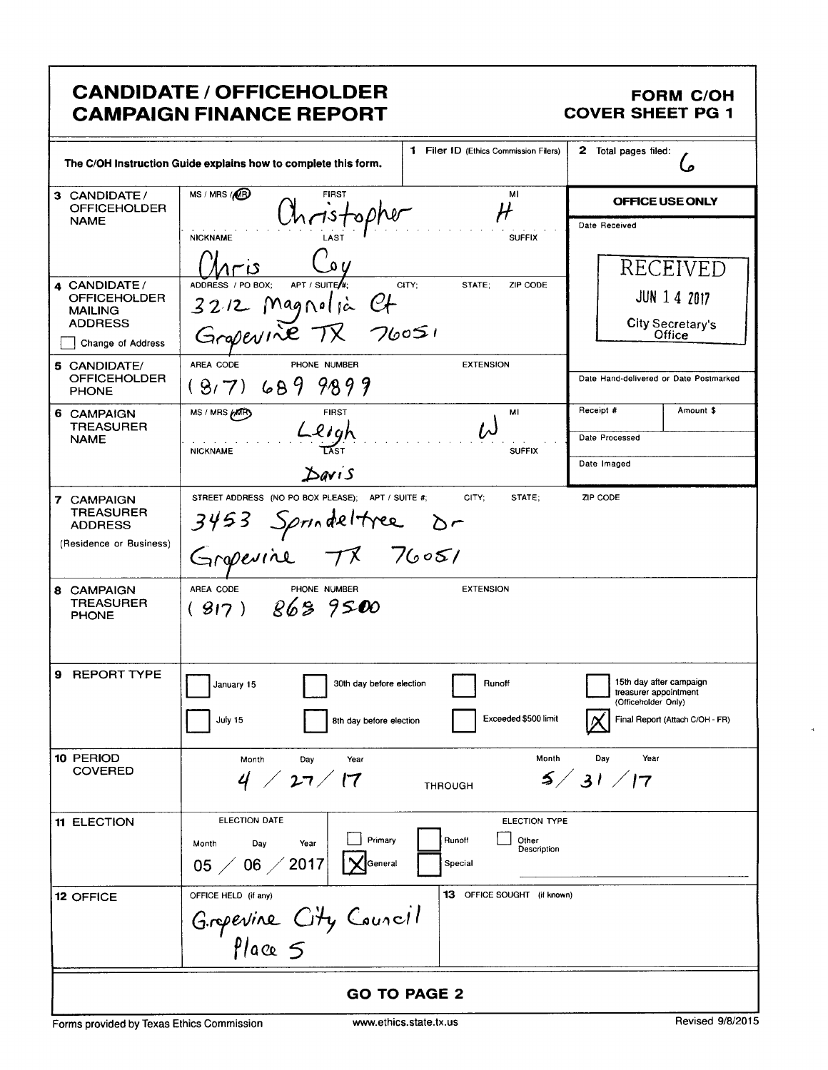# **CANDIDATE / OFFICEHOLDER CAMPAIGN FINANCE REPORT**

### **FORM C/OH COVER SHEET PG 1**

|                                                                              | The C/OH Instruction Guide explains how to complete this form.                                   | 1 Filer ID (Ethics Commission Filers)                      | 2 Total pages filed:                                                                                       |
|------------------------------------------------------------------------------|--------------------------------------------------------------------------------------------------|------------------------------------------------------------|------------------------------------------------------------------------------------------------------------|
| 3 CANDIDATE/<br><b>OFFICEHOLDER</b><br><b>NAME</b>                           | MS / MRS / MB<br><b>FIRST</b><br>Christophe                                                      | MI                                                         | OFFICE USE ONLY                                                                                            |
| 4 CANDIDATE/                                                                 | <b>NICKNAME</b><br>ره پ<br>APT / SUITE $\frac{1}{2}$<br>ADDRESS / PO BOX;                        | <b>SUFFIX</b><br>CITY:<br>STATE:<br>ZIP CODE               | Date Received<br>RECEIVED                                                                                  |
| <b>OFFICEHOLDER</b><br><b>MAILING</b><br><b>ADDRESS</b><br>Change of Address | 3212 Magnelia Ct<br>Grapevine TX 76051                                                           |                                                            | <b>JUN 1 4 2017</b><br>City Secretary's<br>Office                                                          |
| 5 CANDIDATE/<br><b>OFFICEHOLDER</b><br><b>PHONE</b>                          | AREA CODE<br>PHONE NUMBER<br>$(9,7)$ 689 9899                                                    | <b>EXTENSION</b>                                           | Date Hand-delivered or Date Postmarked                                                                     |
| 6 CAMPAIGN<br><b>TREASURER</b><br><b>NAME</b>                                | MS / MRS MARY<br><b>FIRST</b><br>Lligh<br><b>NICKNAME</b>                                        | мі<br>ノヘ<br><b>SUFFIX</b>                                  | Receipt #<br>Amount \$<br>Date Processed                                                                   |
|                                                                              | $\Delta$ avis                                                                                    |                                                            | Date Imaged                                                                                                |
| 7 CAMPAIGN<br><b>TREASURER</b><br><b>ADDRESS</b><br>(Residence or Business)  | STREET ADDRESS (NO PO BOX PLEASE); APT / SUITE #;<br>3453 Sprindeltree Dr.<br>Gropevine TX 76051 | CITY;<br>STATE:                                            | ZIP CODE                                                                                                   |
| 8 CAMPAIGN<br><b>TREASURER</b><br><b>PHONE</b>                               | AREA CODE<br>PHONE NUMBER<br>(917) 8689500                                                       | <b>EXTENSION</b>                                           |                                                                                                            |
| <b>REPORT TYPE</b><br>9                                                      | 30th day before election<br>January 15<br>July 15<br>8th day before election                     | Runoff<br>Exceeded \$500 limit                             | 15th day after campaign<br>treasurer appointment<br>(Officeholder Only)<br>Final Report (Attach C/OH - FR) |
| 10 PERIOD<br><b>COVERED</b>                                                  | Month<br>Year<br>Day<br>4 / 27 / 17                                                              | Month<br><b>THROUGH</b>                                    | Day<br>Year<br>5/31/17                                                                                     |
| <b>11 ELECTION</b>                                                           | ELECTION DATE<br>Primary<br>Day<br>Year<br>Month<br>$06 \; / \; 2017$<br>General<br>$05 \angle$  | ELECTION TYPE<br>Runoff<br>Other<br>Description<br>Special |                                                                                                            |
| <b>12 OFFICE</b>                                                             | OFFICE HELD (if any)<br>Grepevine City Council                                                   | 13 OFFICE SOUGHT (if known)                                |                                                                                                            |
|                                                                              |                                                                                                  | <b>GO TO PAGE 2</b>                                        |                                                                                                            |

 $\tilde{\mathbf{a}}$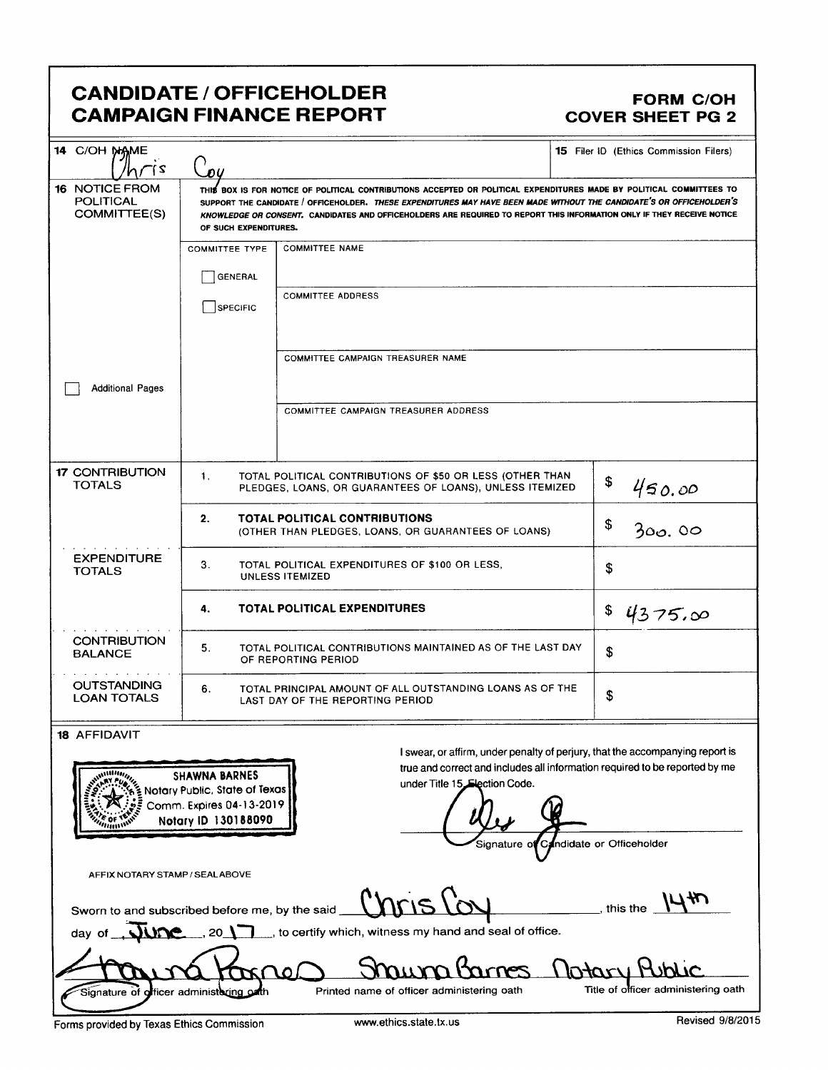# CANDIDATE / OFFICEHOLDER FORM C/OH CAMPAIGN FINANCE REPORT COVER SHEET PG 2

| 14 C/OH NAME<br>7 آ                                            | 04                                                                                                                                |                                                                                                                                                                                                                                                                                                                                                                         | <b>15</b> Filer ID (Ethics Commission Filers)                                                                                                                |
|----------------------------------------------------------------|-----------------------------------------------------------------------------------------------------------------------------------|-------------------------------------------------------------------------------------------------------------------------------------------------------------------------------------------------------------------------------------------------------------------------------------------------------------------------------------------------------------------------|--------------------------------------------------------------------------------------------------------------------------------------------------------------|
| <b>16 NOTICE FROM</b><br><b>POLITICAL</b><br>COMMITTEE(S)      | OF SUCH EXPENDITURES.                                                                                                             | THIS BOX IS FOR NOTICE OF POLITICAL CONTRIBUTIONS ACCEPTED OR POLITICAL EXPENDITURES MADE BY POLITICAL COMMITTEES TO<br>SUPPORT THE CANDIDATE / OFFICEHOLDER. THESE EXPENDITURES MAY HAVE BEEN MADE WITHOUT THE CANDIDATE'S OR OFFICEHOLDER'S<br>KNOWLEDGE OR CONSENT. CANDIDATES AND OFFICEHOLDERS ARE REQUIRED TO REPORT THIS INFORMATION ONLY IF THEY RECEIVE NOTICE |                                                                                                                                                              |
|                                                                | <b>COMMITTEE TYPE</b>                                                                                                             | <b>COMMITTEE NAME</b>                                                                                                                                                                                                                                                                                                                                                   |                                                                                                                                                              |
|                                                                | GENERAL                                                                                                                           |                                                                                                                                                                                                                                                                                                                                                                         |                                                                                                                                                              |
|                                                                | SPECIFIC                                                                                                                          | <b>COMMITTEE ADDRESS</b>                                                                                                                                                                                                                                                                                                                                                |                                                                                                                                                              |
|                                                                |                                                                                                                                   | COMMITTEE CAMPAIGN TREASURER NAME                                                                                                                                                                                                                                                                                                                                       |                                                                                                                                                              |
| <b>Additional Pages</b>                                        |                                                                                                                                   |                                                                                                                                                                                                                                                                                                                                                                         |                                                                                                                                                              |
|                                                                |                                                                                                                                   | COMMITTEE CAMPAIGN TREASURER ADDRESS                                                                                                                                                                                                                                                                                                                                    |                                                                                                                                                              |
| <b>17 CONTRIBUTION</b><br><b>TOTALS</b>                        | TOTAL POLITICAL CONTRIBUTIONS OF \$50 OR LESS (OTHER THAN<br>1.<br>\$<br>PLEDGES, LOANS, OR GUARANTEES OF LOANS), UNLESS ITEMIZED |                                                                                                                                                                                                                                                                                                                                                                         | 450.00                                                                                                                                                       |
|                                                                | 2.                                                                                                                                | <b>TOTAL POLITICAL CONTRIBUTIONS</b><br>(OTHER THAN PLEDGES, LOANS, OR GUARANTEES OF LOANS)                                                                                                                                                                                                                                                                             | \$<br>300.00                                                                                                                                                 |
| <b>EXPENDITURE</b><br><b>TOTALS</b>                            | 3.<br>TOTAL POLITICAL EXPENDITURES OF \$100 OR LESS,<br>UNLESS ITEMIZED                                                           |                                                                                                                                                                                                                                                                                                                                                                         | \$                                                                                                                                                           |
|                                                                | 4.                                                                                                                                | <b>TOTAL POLITICAL EXPENDITURES</b>                                                                                                                                                                                                                                                                                                                                     | \$<br>4375.00                                                                                                                                                |
| <b>CONTRIBUTION</b><br><b>BALANCE</b>                          | TOTAL POLITICAL CONTRIBUTIONS MAINTAINED AS OF THE LAST DAY<br>5.<br>OF REPORTING PERIOD                                          |                                                                                                                                                                                                                                                                                                                                                                         | \$                                                                                                                                                           |
| <b>OUTSTANDING</b><br><b>LOAN TOTALS</b>                       | TOTAL PRINCIPAL AMOUNT OF ALL OUTSTANDING LOANS AS OF THE<br>6.<br>LAST DAY OF THE REPORTING PERIOD                               |                                                                                                                                                                                                                                                                                                                                                                         | \$                                                                                                                                                           |
| <b>18 AFFIDAVIT</b><br>$\overline{m}$ illin <sub>in</sub><br>7 | <b>SHAWNA BARNES</b><br>Notary Public, State of Texas<br>Comm. Expires 04-13-2019<br>Notary ID 130188090                          | under Title 15. Election Code.                                                                                                                                                                                                                                                                                                                                          | I swear, or affirm, under penalty of perjury, that the accompanying report is<br>true and correct and includes all information required to be reported by me |
|                                                                |                                                                                                                                   |                                                                                                                                                                                                                                                                                                                                                                         | Signature of Candidate or Officeholder                                                                                                                       |

AFFIX NOTARY STAMP / SEAL ABOVE

Sworn to and subscribed before me, by the said **COLO before** 

1447 this the  $\overline{\phantom{a}}$ 

day of **WAC** , 20 , to certify which, witness my hand and seal of office.

lotary Public a <del>la</del>gre larnes Signature of officer administoring oath Printed name of officer administering oath Title of officer administering oath

Forms provided by Texas Ethics Commission www.ethics.state.tx.us Revised 9/8/2015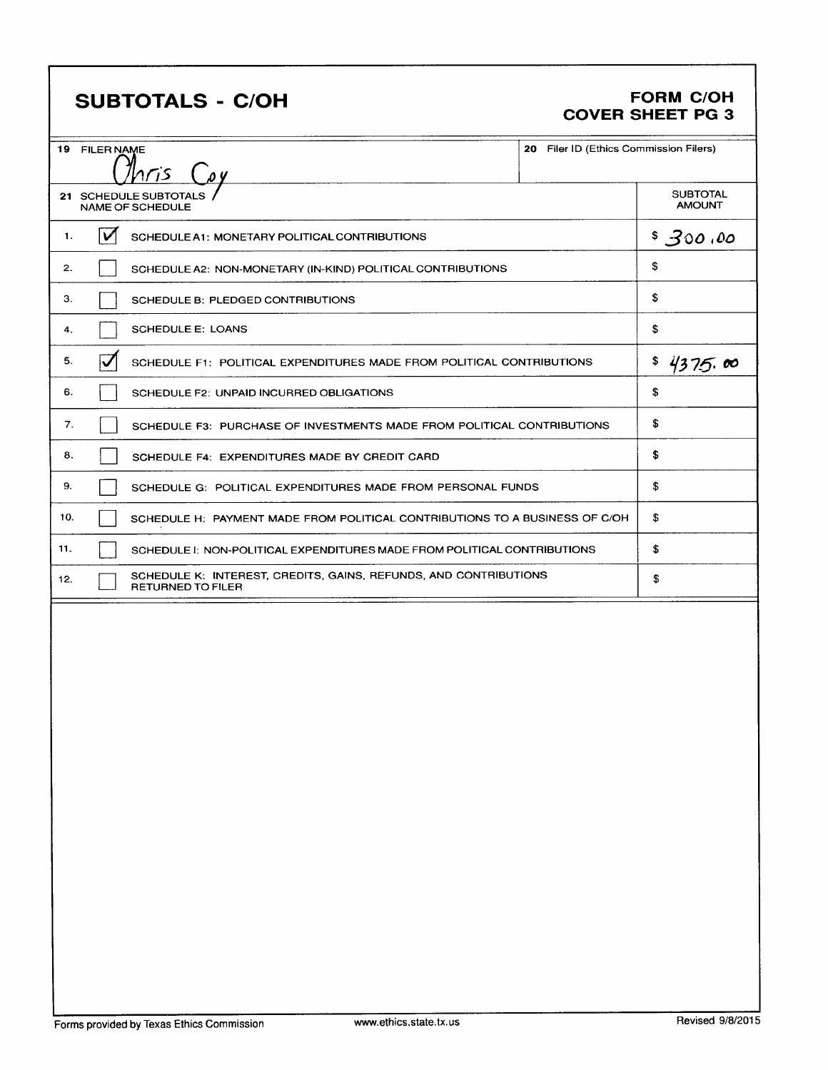# SUBTOTALS - C/OH FORM C/OH

# COVER SHEET PG 3

| 19 FILER NAME                                    |                                                                                              | 20 Filer ID (Ethics Commission Filers) |                                  |
|--------------------------------------------------|----------------------------------------------------------------------------------------------|----------------------------------------|----------------------------------|
|                                                  | nris                                                                                         |                                        |                                  |
| 21 SCHEDULE SUBTOTALS<br><b>NAME OF SCHEDULE</b> |                                                                                              |                                        | <b>SUBTOTAL</b><br><b>AMOUNT</b> |
| 1.                                               | V<br>SCHEDULE A1: MONETARY POLITICAL CONTRIBUTIONS                                           |                                        |                                  |
| 2.                                               | SCHEDULE A2: NON-MONETARY (IN-KIND) POLITICAL CONTRIBUTIONS                                  |                                        |                                  |
| З.                                               | SCHEDULE B: PLEDGED CONTRIBUTIONS                                                            |                                        |                                  |
| 4.                                               | <b>SCHEDULE E: LOANS</b>                                                                     |                                        | \$.                              |
| 5.                                               | SCHEDULE F1: POLITICAL EXPENDITURES MADE FROM POLITICAL CONTRIBUTIONS                        |                                        | 4375.00                          |
| 6.                                               | SCHEDULE F2: UNPAID INCURRED OBLIGATIONS                                                     |                                        | \$                               |
| 7.                                               | SCHEDULE F3: PURCHASE OF INVESTMENTS MADE FROM POLITICAL CONTRIBUTIONS                       |                                        |                                  |
| 8.                                               | SCHEDULE F4: EXPENDITURES MADE BY CREDIT CARD                                                |                                        | S                                |
| 9.                                               | SCHEDULE G: POLITICAL EXPENDITURES MADE FROM PERSONAL FUNDS                                  |                                        | \$                               |
| 10.                                              | SCHEDULE H: PAYMENT MADE FROM POLITICAL CONTRIBUTIONS TO A BUSINESS OF C/OH                  |                                        |                                  |
| 11.                                              | SCHEDULE 1: NON-POLITICAL EXPENDITURES MADE FROM POLITICAL CONTRIBUTIONS                     |                                        | \$                               |
| 12.                                              | SCHEDULE K: INTEREST, CREDITS, GAINS, REFUNDS, AND CONTRIBUTIONS<br><b>RETURNED TO FILER</b> |                                        | \$                               |
|                                                  |                                                                                              |                                        |                                  |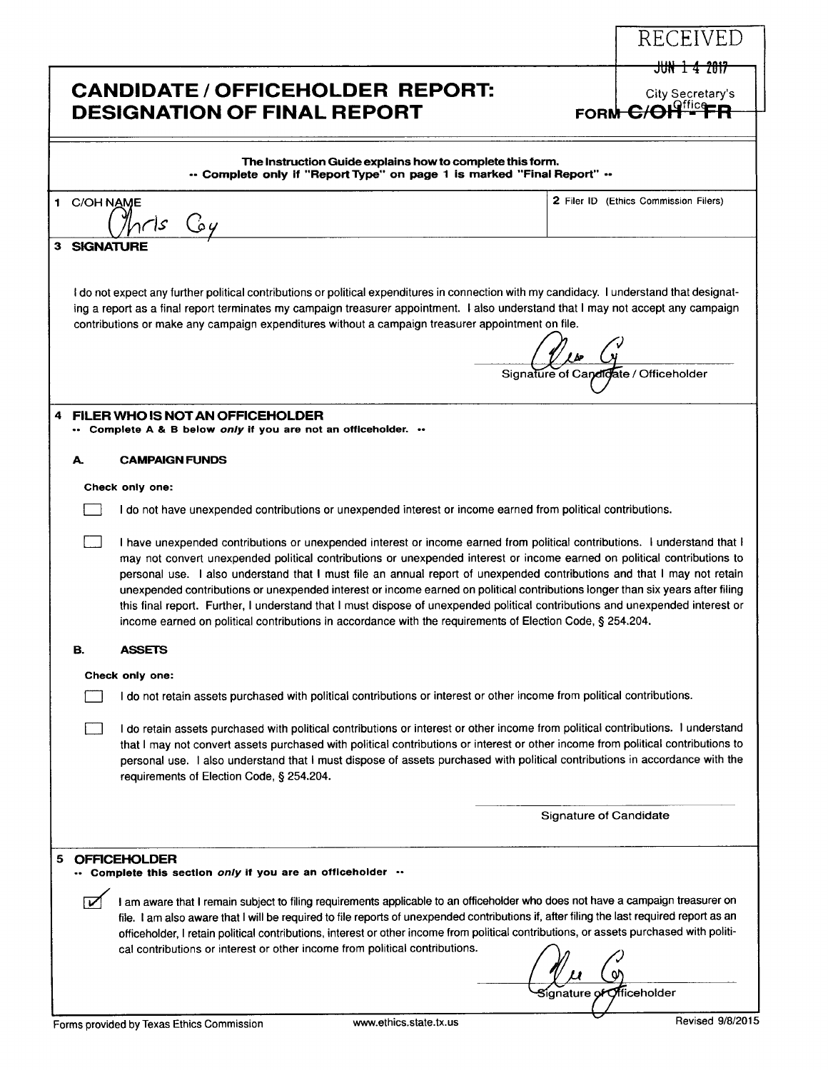|                  | <b>CANDIDATE / OFFICEHOLDER REPORT:</b><br><b>DESIGNATION OF FINAL REPORT</b>                                                                                                                                                                                                                                                                                                                                                                                                                                                                                                                                                                                                                                                                                    | <b>FORM</b>                   | <del>JUN 1 4 2017</del><br>City Secretary's |
|------------------|------------------------------------------------------------------------------------------------------------------------------------------------------------------------------------------------------------------------------------------------------------------------------------------------------------------------------------------------------------------------------------------------------------------------------------------------------------------------------------------------------------------------------------------------------------------------------------------------------------------------------------------------------------------------------------------------------------------------------------------------------------------|-------------------------------|---------------------------------------------|
|                  | The Instruction Guide explains how to complete this form.<br>" Complete only if "Report Type" on page 1 is marked "Final Report" "                                                                                                                                                                                                                                                                                                                                                                                                                                                                                                                                                                                                                               |                               |                                             |
| 1 C/OH NAME      | بحابهم<br>په تُ                                                                                                                                                                                                                                                                                                                                                                                                                                                                                                                                                                                                                                                                                                                                                  |                               | 2 Filer ID (Ethics Commission Filers)       |
| <b>SIGNATURE</b> |                                                                                                                                                                                                                                                                                                                                                                                                                                                                                                                                                                                                                                                                                                                                                                  |                               |                                             |
|                  | I do not expect any further political contributions or political expenditures in connection with my candidacy. I understand that designat-<br>ing a report as a final report terminates my campaign treasurer appointment. I also understand that I may not accept any campaign<br>contributions or make any campaign expenditures without a campaign treasurer appointment on file.                                                                                                                                                                                                                                                                                                                                                                             |                               | Signature of Candidate / Officeholder       |
|                  | FILER WHO IS NOT AN OFFICEHOLDER<br>Complete A & B below only if you are not an officeholder.                                                                                                                                                                                                                                                                                                                                                                                                                                                                                                                                                                                                                                                                    |                               |                                             |
| А.               | <b>CAMPAIGN FUNDS</b>                                                                                                                                                                                                                                                                                                                                                                                                                                                                                                                                                                                                                                                                                                                                            |                               |                                             |
|                  | Check only one:                                                                                                                                                                                                                                                                                                                                                                                                                                                                                                                                                                                                                                                                                                                                                  |                               |                                             |
|                  | I do not have unexpended contributions or unexpended interest or income earned from political contributions.                                                                                                                                                                                                                                                                                                                                                                                                                                                                                                                                                                                                                                                     |                               |                                             |
|                  | I have unexpended contributions or unexpended interest or income earned from political contributions. I understand that I<br>may not convert unexpended political contributions or unexpended interest or income earned on political contributions to<br>personal use. I also understand that I must file an annual report of unexpended contributions and that I may not retain<br>unexpended contributions or unexpended interest or income earned on political contributions longer than six years after filing<br>this final report. Further, I understand that I must dispose of unexpended political contributions and unexpended interest or<br>income earned on political contributions in accordance with the requirements of Election Code, § 254.204. |                               |                                             |
| В.               | ASSETS                                                                                                                                                                                                                                                                                                                                                                                                                                                                                                                                                                                                                                                                                                                                                           |                               |                                             |
|                  | Check only one:                                                                                                                                                                                                                                                                                                                                                                                                                                                                                                                                                                                                                                                                                                                                                  |                               |                                             |
|                  | I do not retain assets purchased with political contributions or interest or other income from political contributions.                                                                                                                                                                                                                                                                                                                                                                                                                                                                                                                                                                                                                                          |                               |                                             |
|                  | I do retain assets purchased with political contributions or interest or other income from political contributions. I understand<br>that I may not convert assets purchased with political contributions or interest or other income from political contributions to<br>personal use. I also understand that I must dispose of assets purchased with political contributions in accordance with the<br>requirements of Election Code, § 254.204.                                                                                                                                                                                                                                                                                                                 |                               |                                             |
|                  |                                                                                                                                                                                                                                                                                                                                                                                                                                                                                                                                                                                                                                                                                                                                                                  | <b>Signature of Candidate</b> |                                             |
|                  | <b>OFFICEHOLDER</b><br>Complete this section only if you are an officeholder                                                                                                                                                                                                                                                                                                                                                                                                                                                                                                                                                                                                                                                                                     |                               |                                             |
|                  | I am aware that I remain subject to filing requirements applicable to an officeholder who does not have a campaign treasurer on<br>file. I am also aware that I will be required to file reports of unexpended contributions if, after filing the last required report as an<br>officeholder, I retain political contributions, interest or other income from political contributions, or assets purchased with politi-<br>cal contributions or interest or other income from political contributions.                                                                                                                                                                                                                                                           |                               | Officeholder                                |
|                  | www.ethics.state.tx.us<br>Forms provided by Texas Ethics Commission                                                                                                                                                                                                                                                                                                                                                                                                                                                                                                                                                                                                                                                                                              |                               | Revised 9/8/2015                            |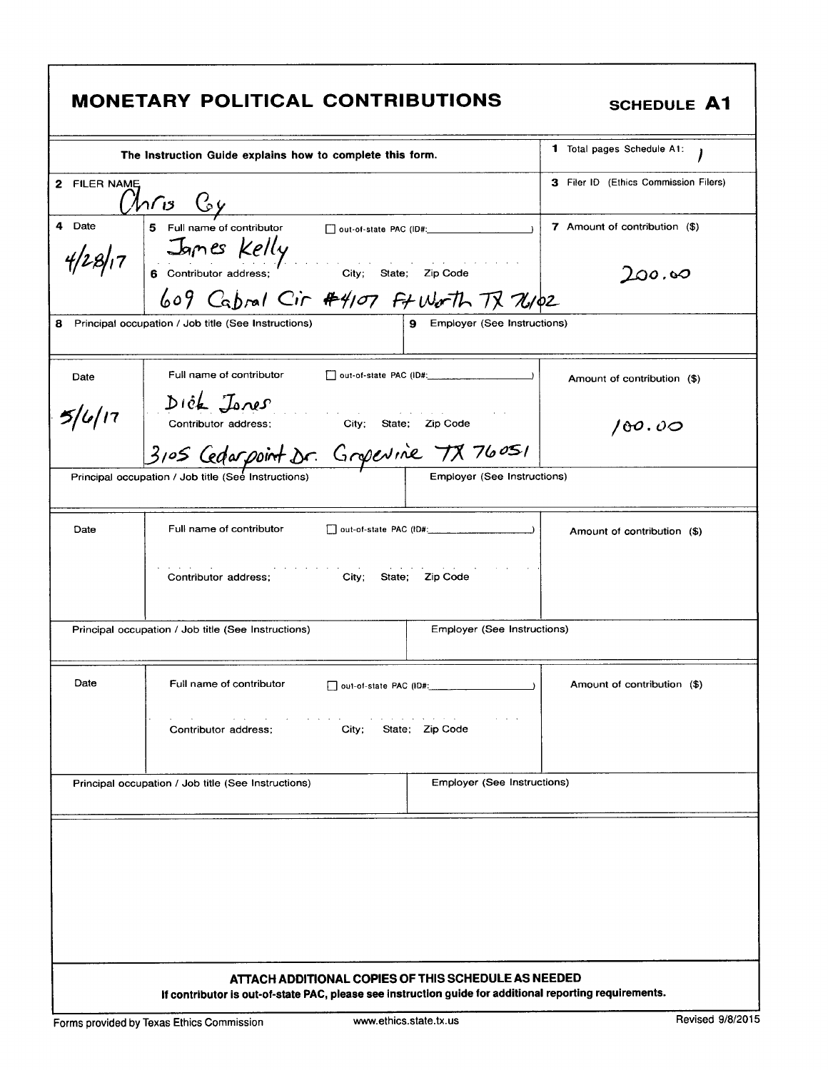|              | <b>MONETARY POLITICAL CONTRIBUTIONS</b>                                                                                                                        |                                    | <b>SCHEDULE A1</b>                    |
|--------------|----------------------------------------------------------------------------------------------------------------------------------------------------------------|------------------------------------|---------------------------------------|
|              | The Instruction Guide explains how to complete this form.                                                                                                      | <b>1</b> Total pages Schedule A1:  |                                       |
| 2 FILER NAME | <u>Unris Coy</u>                                                                                                                                               |                                    | 3 Filer ID (Ethics Commission Filers) |
| 4 Date       | 5 Full name of contributor and out-of-state PAC (ID#: __________________________                                                                               |                                    | 7 Amount of contribution (\$)         |
|              | $\frac{4}{28/17}$ James Kelly<br>6 contributor address; City; State; Zip Code                                                                                  |                                    | $\mathcal{L}$ 00.60                   |
|              | 609 Cabral Cir #4107 Ft Worth TX 76102                                                                                                                         |                                    |                                       |
|              | 8 Principal occupation / Job title (See Instructions)                                                                                                          | 9 Employer (See Instructions)      |                                       |
| Date         | Full name of contributor                                                                                                                                       |                                    | Amount of contribution (\$)           |
| 5/6/17       | $\int \int \int \hat{c} \cdot \vec{k} \cdot \vec{j} \cdot \vec{k}$<br>Contributor address; City; State; Zip Code                                               |                                    | 100.00                                |
|              | 3105 Cedarpoint Dr. Gropevine 78 76051                                                                                                                         |                                    |                                       |
|              | Principal occupation / Job title (See Instructions)                                                                                                            | <b>Employer (See Instructions)</b> |                                       |
| Date         | Full name of contributor                                                                                                                                       |                                    | Amount of contribution (\$)           |
|              | <b>City;</b><br>Contributor address;                                                                                                                           | State; Zip Code                    |                                       |
|              | Principal occupation / Job title (See Instructions)                                                                                                            | <b>Employer (See Instructions)</b> |                                       |
| Date         | Full name of contributor                                                                                                                                       |                                    | Amount of contribution (\$)           |
|              | Contributor address:<br>City;                                                                                                                                  | State; Zip Code                    |                                       |
|              | Principal occupation / Job title (See Instructions)                                                                                                            | <b>Employer (See Instructions)</b> |                                       |
|              |                                                                                                                                                                |                                    |                                       |
|              |                                                                                                                                                                |                                    |                                       |
|              |                                                                                                                                                                |                                    |                                       |
|              |                                                                                                                                                                |                                    |                                       |
|              |                                                                                                                                                                |                                    |                                       |
|              |                                                                                                                                                                |                                    |                                       |
|              | ATTACH ADDITIONAL COPIES OF THIS SCHEDULE AS NEEDED<br>If contributor is out-of-state PAC, please see instruction guide for additional reporting requirements. |                                    |                                       |

Ī

٦